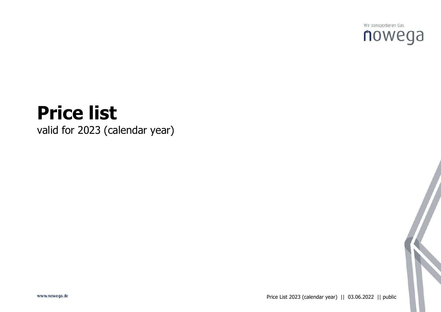

# **Price list** valid for 2023 (calendar year)

www.nowega.de

Price List 2023 (calendar year) || 03.06.2022 || public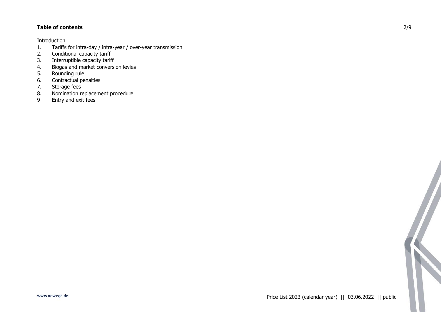## **Table of contents**

Introduction

- 1. Tariffs for intra-day / intra-year / over-year transmission<br>2. Conditional capacity tariff
- Conditional capacity tariff
- 3. Interruptible capacity tariff
- 4. Biogas and market conversion levies<br>5. Rounding rule
- Rounding rule
- 6. Contractual penalties
- 7. Storage fees
- 8. Nomination replacement procedure<br>9 Entry and exit fees
- Entry and exit fees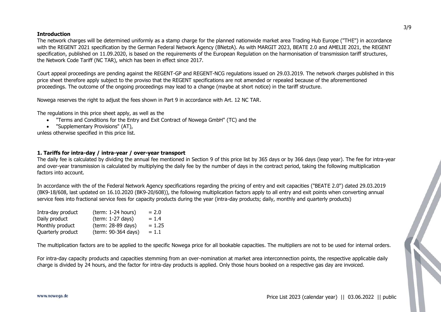#### **Introduction**

The network charges will be determined uniformly as a stamp charge for the planned nationwide market area Trading Hub Europe ("THE") in accordance with the REGENT 2021 specification by the German Federal Network Agency (BNetzA). As with MARGIT 2023, BEATE 2.0 and AMELIE 2021, the REGENT specification, published on 11.09.2020, is based on the requirements of the European Regulation on the harmonisation of transmission tariff structures, the Network Code Tariff (NC TAR), which has been in effect since 2017.

Court appeal proceedings are pending against the REGENT-GP and REGENT-NCG regulations issued on 29.03.2019. The network charges published in this price sheet therefore apply subject to the proviso that the REGENT specifications are not amended or repealed because of the aforementioned proceedings. The outcome of the ongoing proceedings may lead to a change (maybe at short notice) in the tariff structure.

Nowega reserves the right to adjust the fees shown in Part 9 in accordance with Art. 12 NC TAR.

The regulations in this price sheet apply, as well as the

- "Terms and Conditions for the Entry and Exit Contract of Nowega GmbH" (TC) and the
- "Supplementary Provisions" (AT),

unless otherwise specified in this price list.

## **1. Tariffs for intra-day / intra-year / over-year transport**

The daily fee is calculated by dividing the annual fee mentioned in Section 9 of this price list by 365 days or by 366 days (leap year). The fee for intra-year and over-year transmission is calculated by multiplying the daily fee by the number of days in the contract period, taking the following multiplication factors into account.

In accordance with the of the Federal Network Agency specifications regarding the pricing of entry and exit capacities ("BEATE 2.0") dated 29.03.2019 (BK9-18/608, last updated on 16.10.2020 (BK9-20/608)), the following multiplication factors apply to all entry and exit points when converting annual service fees into fractional service fees for capacity products during the year (intra-day products; daily, monthly and quarterly products)

| Intra-day product | (term: 1-24 hours)  | $= 2.0$  |
|-------------------|---------------------|----------|
| Daily product     | (term: 1-27 days)   | $= 1.4$  |
| Monthly product   | (term: 28-89 days)  | $= 1.25$ |
| Quarterly product | (term: 90-364 days) | $= 1.1$  |

The multiplication factors are to be applied to the specific Nowega price for all bookable capacities. The multipliers are not to be used for internal orders.

For intra-day capacity products and capacities stemming from an over-nomination at market area interconnection points, the respective applicable daily charge is divided by 24 hours, and the factor for intra-day products is applied. Only those hours booked on a respective gas day are invoiced.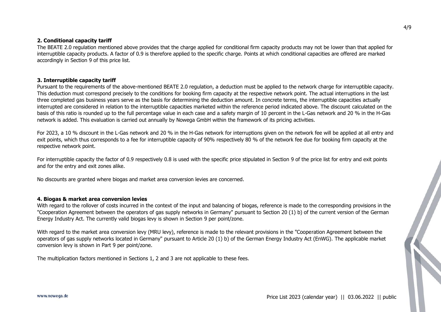#### **2. Conditional capacity tariff**

The BEATE 2.0 regulation mentioned above provides that the charge applied for conditional firm capacity products may not be lower than that applied for interruptible capacity products. A factor of 0.9 is therefore applied to the specific charge. Points at which conditional capacities are offered are marked accordingly in Section 9 of this price list.

#### **3. Interruptible capacity tariff**

Pursuant to the requirements of the above-mentioned BEATE 2.0 regulation, a deduction must be applied to the network charge for interruptible capacity. This deduction must correspond precisely to the conditions for booking firm capacity at the respective network point. The actual interruptions in the last three completed gas business years serve as the basis for determining the deduction amount. In concrete terms, the interruptible capacities actually interrupted are considered in relation to the interruptible capacities marketed within the reference period indicated above. The discount calculated on the basis of this ratio is rounded up to the full percentage value in each case and a safety margin of 10 percent in the L-Gas network and 20 % in the H-Gas network is added. This evaluation is carried out annually by Nowega GmbH within the framework of its pricing activities.

For 2023, a 10 % discount in the L-Gas network and 20 % in the H-Gas network for interruptions given on the network fee will be applied at all entry and exit points, which thus corresponds to a fee for interruptible capacity of 90% respectively 80 % of the network fee due for booking firm capacity at the respective network point.

For interruptible capacity the factor of 0.9 respectively 0.8 is used with the specific price stipulated in Section 9 of the price list for entry and exit points and for the entry and exit zones alike.

No discounts are granted where biogas and market area conversion levies are concerned.

#### **4. Biogas & market area conversion levies**

With regard to the rollover of costs incurred in the context of the input and balancing of biogas, reference is made to the corresponding provisions in the "Cooperation Agreement between the operators of gas supply networks in Germany" pursuant to Section 20 (1) b) of the current version of the German Energy Industry Act. The currently valid biogas levy is shown in Section 9 per point/zone.

With regard to the market area conversion levy (MRU levy), reference is made to the relevant provisions in the "Cooperation Agreement between the operators of gas supply networks located in Germany" pursuant to Article 20 (1) b) of the German Energy Industry Act (EnWG). The applicable market conversion levy is shown in Part 9 per point/zone.

The multiplication factors mentioned in Sections 1, 2 and 3 are not applicable to these fees.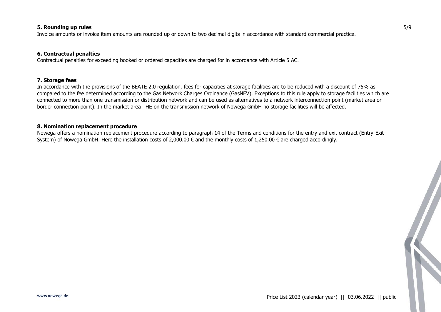#### **5. Rounding up rules**

Invoice amounts or invoice item amounts are rounded up or down to two decimal digits in accordance with standard commercial practice.

#### **6. Contractual penalties**

Contractual penalties for exceeding booked or ordered capacities are charged for in accordance with Article 5 AC.

#### **7. Storage fees**

In accordance with the provisions of the BEATE 2.0 regulation, fees for capacities at storage facilities are to be reduced with a discount of 75% as compared to the fee determined according to the Gas Network Charges Ordinance (GasNEV). Exceptions to this rule apply to storage facilities which are connected to more than one transmission or distribution network and can be used as alternatives to a network interconnection point (market area or border connection point). In the market area THE on the transmission network of Nowega GmbH no storage facilities will be affected.

#### **8. Nomination replacement procedure**

Nowega offers a nomination replacement procedure according to paragraph 14 of the Terms and conditions for the entry and exit contract (Entry-Exit-System) of Nowega GmbH. Here the installation costs of 2,000.00  $\epsilon$  and the monthly costs of 1,250.00  $\epsilon$  are charged accordingly.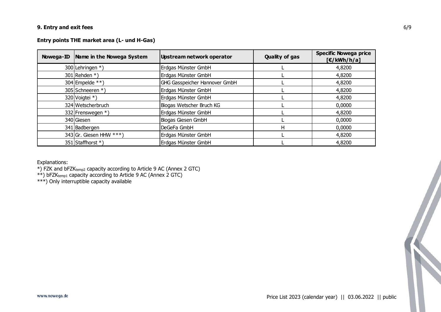## **9. Entry and exit fees**

## **Entry points THE market area (L- und H-Gas)**

| Nowega-ID   Name in the Nowega System | Upstream network operator            | <b>Quality of gas</b> | <b>Specific Nowega price</b><br>E/KWh/h/a] |
|---------------------------------------|--------------------------------------|-----------------------|--------------------------------------------|
| 300 Lehringen *)                      | Erdgas Münster GmbH                  |                       | 4,8200                                     |
| 301 Rehden $*$ )                      | Erdgas Münster GmbH                  |                       | 4,8200                                     |
| 304 Empelde $**$ )                    | <b>GHG Gasspeicher Hannover GmbH</b> |                       | 4,8200                                     |
| 305 Schneeren *)                      | Erdgas Münster GmbH                  |                       | 4,8200                                     |
| 320 Voigtei *)                        | Erdgas Münster GmbH                  |                       | 4,8200                                     |
| 324 Wetscherbruch                     | Biogas Wetscher Bruch KG             |                       | 0,0000                                     |
| 332 Frenswegen *)                     | Erdgas Münster GmbH                  |                       | 4,8200                                     |
| 340 Giesen                            | Biogas Giesen GmbH                   |                       | 0,0000                                     |
| 341 Badbergen                         | DeGeFa GmbH                          | н                     | 0,0000                                     |
| 343 Gr. Giesen HHW $***$ )            | Erdgas Münster GmbH                  |                       | 4,8200                                     |
| 351 Staffhorst *)                     | Erdgas Münster GmbH                  |                       | 4,8200                                     |

Explanations:

\*) FZK and bFZKtemp2 capacity according to Article 9 AC (Annex 2 GTC)

\*\*) bFZK<sub>temp1</sub> capacity according to Article 9 AC (Annex 2 GTC)

\*\*\*) Only interruptible capacity available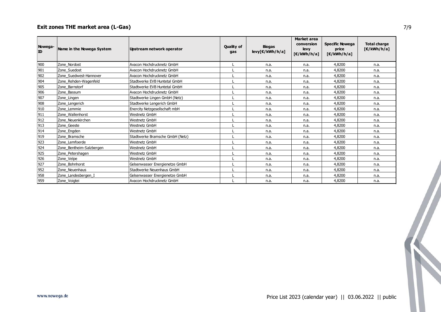# **Exit zones THE market area (L-Gas)**

| Nowega-<br>ID | Name in the Nowega System | Upstream network operator       | Quality of<br>gas | <b>Biogas</b><br>levy[€/kWh/h/a] | <b>Market area</b><br>conversion<br>levy<br>E/KWh/h/a] | <b>Specific Nowega</b><br>price<br>$[\mathsf{E}/kWh/h/a]$ | <b>Total charge</b><br>$[\mathsf{E}/kWh/h/a]$ |
|---------------|---------------------------|---------------------------------|-------------------|----------------------------------|--------------------------------------------------------|-----------------------------------------------------------|-----------------------------------------------|
| 900           | Zone_Nordost              | Avacon Hochdrucknetz GmbH       |                   | n.a.                             | n.a.                                                   | 4,8200                                                    | n.a.                                          |
| 901           | Zone Suedost              | Avacon Hochdrucknetz GmbH       |                   | n.a.                             | n.a.                                                   | 4,8200                                                    | n.a.                                          |
| 902           | Zone Suedwest-Hannover    | Avacon Hochdrucknetz GmbH       |                   | n.a.                             | n.a.                                                   | 4,8200                                                    | n.a.                                          |
| 904           | Zone_Rehden-Wagenfeld     | Stadtwerke EVB Huntetal GmbH    |                   | n.a.                             | n.a.                                                   | 4,8200                                                    | n.a.                                          |
| 905           | Zone Barnstorf            | Stadtwerke EVB Huntetal GmbH    |                   | n.a.                             | n.a.                                                   | 4,8200                                                    | n.a.                                          |
| 906           | Zone Bassum               | Avacon Hochdrucknetz GmbH       |                   | n.a.                             | n.a.                                                   | 4,8200                                                    | n.a.                                          |
| 907           | Zone_Lingen               | Stadtwerke Lingen GmbH (Netz)   |                   | n.a.                             | n.a.                                                   | 4,8200                                                    | n.a.                                          |
| 908           | Zone Lengerich            | Stadtwerke Lengerich GmbH       |                   | n.a.                             | n.a.                                                   | 4,8200                                                    | n.a.                                          |
| 910           | Zone Lemmie               | Enercity Netzgesellschaft mbH   |                   | n.a.                             | n.a.                                                   | 4,8200                                                    | n.a.                                          |
| 911           | Zone_Wallenhorst          | Westnetz GmbH                   |                   | n.a.                             | n.a.                                                   | 4,8200                                                    | n.a.                                          |
| 912           | Zone Neuenkirchen         | Westnetz GmbH                   |                   | n.a.                             | n.a.                                                   | 4,8200                                                    | n.a.                                          |
| 913           | Zone Geeste               | Westnetz GmbH                   |                   | n.a.                             | n.a.                                                   | 4,8200                                                    | n.a.                                          |
| 914           | Zone Engden               | Westnetz GmbH                   |                   | n.a.                             | n.a.                                                   | 4,8200                                                    | n.a.                                          |
| 919           | Zone_Bramsche             | Stadtwerke Bramsche GmbH (Netz) |                   | n.a.                             | n.a.                                                   | 4,8200                                                    | n.a.                                          |
| 923           | Zone Lemfoerde            | Westnetz GmbH                   |                   | n.a.                             | n.a.                                                   | 4,8200                                                    | n.a.                                          |
| 924           | Zone_Bentheim-Salzbergen  | Westnetz GmbH                   |                   | n.a.                             | n.a.                                                   | 4,8200                                                    | n.a.                                          |
| 925           | Zone Petershagen          | Westnetz GmbH                   |                   | n.a.                             | n.a.                                                   | 4,8200                                                    | n.a.                                          |
| 926           | Zone Velpe                | <b>Westnetz GmbH</b>            |                   | n.a.                             | n.a.                                                   | 4,8200                                                    | n.a.                                          |
| 927           | Zone Bohnhorst            | Gelsenwasser Energienetze GmbH  |                   | n.a.                             | n.a.                                                   | 4,8200                                                    | n.a.                                          |
| 952           | Zone_Neuenhaus            | Stadtwerke Neuenhaus GmbH       |                   | n.a.                             | n.a.                                                   | 4,8200                                                    | n.a.                                          |
| 958           | Zone Landesbergen I       | Gelsenwasser Energienetze GmbH  |                   | n.a.                             | n.a.                                                   | 4,8200                                                    | n.a.                                          |
| 959           | Zone_Voigtei              | Avacon Hochdrucknetz GmbH       |                   | n.a.                             | n.a.                                                   | 4,8200                                                    | n.a.                                          |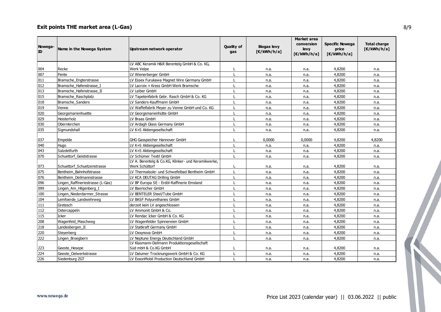# **Exit points THE market area (L-Gas)**

| Nowega-<br>ID | Name in the Nowega System        | Upstream network operator                                             | <b>Quality of</b><br>gas | <b>Biogas levy</b><br>E/kWh/h/a] | <b>Market area</b><br>conversion<br>levy<br>$E/kWh/h/a$ ] | <b>Specific Nowega</b><br>price<br>$[\mathsf{E}/kWh/h/a]$ | <b>Total charge</b><br>F(Nh/h/a] |
|---------------|----------------------------------|-----------------------------------------------------------------------|--------------------------|----------------------------------|-----------------------------------------------------------|-----------------------------------------------------------|----------------------------------|
|               |                                  | LV ABC Keramik H&R Berentelg GmbH & Co. KG,                           |                          |                                  |                                                           |                                                           |                                  |
| 004           | Recke                            | <b>Werk Velpe</b>                                                     |                          | n.a.                             | n.a.                                                      | 4,8200                                                    | n.a.                             |
| 007           | Pente                            | LV Wienerberger GmbH                                                  |                          | n.a.                             | n.a.                                                      | 4,8200                                                    | n.a.                             |
| 011           | Bramsche Engterstrasse           | LV Essex Furukawa Magnet Wire Germany GmbH                            |                          | n.a.                             | n.a.                                                      | 4,8200                                                    | n.a.                             |
| 012           | Bramsche_Hafenstrasse_I          | LV Lacroix + Kress GmbH Werk Bramsche                                 | L                        | n.a.                             | n.a.                                                      | 4,8200                                                    | n.a.                             |
| 013           | Bramsche Hafenstrasse II         | LV Leiber GmbH                                                        |                          | n.a.                             | n.a.                                                      | 4,8200                                                    | n.a.                             |
| 015           | Bramsche Raschplatz              | LV Tapetenfabrik Gebr. Rasch GmbH & Co. KG                            |                          | n.a.                             | n.a.                                                      | 4,8200                                                    | n.a.                             |
| 018           | Bramsche Sanders                 | LV Sanders-Kauffmann GmbH                                             |                          | n.a.                             | n.a.                                                      | 4,8200                                                    | n.a.                             |
| 019           | Venne                            | LV Waffelfabrik Meyer zu Venne GmbH und Co. KG                        |                          | n.a.                             | n.a.                                                      | 4,8200                                                    | n.a.                             |
| 020           | Georgsmarienhuette               | LV Georgsmarienhütte GmbH                                             |                          | n.a.                             | n.a.                                                      | 4,8200                                                    | n.a.                             |
| 029           | Heisterholz                      | LV Braas GmbH                                                         | $\mathbf{I}$             | n.a.                             | n.a.                                                      | 4,8200                                                    | n.a.                             |
| 030           | Obernkirchen                     | LV Ardagh Glass Germany GmbH                                          |                          | n.a.                             | n.a.                                                      | 4,8200                                                    | n.a.                             |
| 035           | Sigmundshall                     | LV K+S Aktiengesellschaft                                             |                          | n.a.                             | n.a.                                                      | 4,8200                                                    | n.a.                             |
| 037           | Empelde                          | GHG Gasspeicher Hannover GmbH                                         |                          | 0,0000                           | 0,0000                                                    | 4,8200                                                    | 4,8200                           |
| 040           | Hugo                             | LV K+S Aktiengesellschaft                                             |                          | n.a.                             | n.a.                                                      | 4,8200                                                    | n.a.                             |
| 043           | Salzdetfurth                     | LV K+S Aktiengesellschaft                                             |                          | n.a.                             | n.a.                                                      | 4,8200                                                    | n.a.                             |
| 070           | Schuettorf Geiststrasse          | LV Schümer Textil GmbH                                                |                          | n.a.                             | n.a.                                                      | 4,8200                                                    | n.a.                             |
| 073           | Schuettorf_Schuetzenstrasse      | LV A. Berentelg & Co.KG, Klinker- und Keramikwerke,<br>Werk Schüttorf |                          | n.a.                             | n.a.                                                      | 4,8200                                                    | n.a.                             |
| 075           | Bentheim Bahnhofstrasse          | LV Thermalsole- und Schwefelbad Bentheim GmbH                         | $\mathbf{I}$             | n.a.                             | n.a.                                                      | 4,8200                                                    | n.a.                             |
| 076           | Bentheim Deilmannstrasse         | LV KCA DEUTAG Drilling GmbH                                           | $\mathbf{I}$             | n.a.                             | n.a.                                                      | 4,8200                                                    | n.a.                             |
| 096           | Lingen_Raffineriestrasse (L-Gas) | LV BP Europa SE - Erdöl-Raffinerie Emsland                            |                          | n.a.                             | n.a.                                                      | 4,8200                                                    | n.a.                             |
| 099           | Lingen Am Hilgenberg I           | LV Baerlocher GmbH                                                    |                          | n.a.                             | n.a.                                                      | 4,8200                                                    | n.a.                             |
| 100           | Lingen Niederdarmer Strasse      | LV BENTELER Steel/Tube GmbH                                           |                          | n.a.                             | n.a.                                                      | 4,8200                                                    | n.a.                             |
| 104           | Lemfoerde_Landwehrweg            | LV BASF Polyurethanes GmbH                                            |                          | n.a.                             | n.a.                                                      | 4,8200                                                    | n.a.                             |
| 111           | Gretesch                         | derzeit kein LV angeschlossen                                         |                          | n.a.                             | n.a.                                                      | 4,8200                                                    | n.a.                             |
| 112           | Ostercappeln                     | LV Ammonit GmbH & Co.                                                 |                          | n.a.                             | n.a.                                                      | 4,8200                                                    | n.a.                             |
| 115           | Icker                            | LV Rendac Icker GmbH & Co. KG                                         |                          | n.a.                             | n.a.                                                      | 4,8200                                                    | n.a.                             |
| 208           | Wagenfeld_Maschweg               | LV Wagenfelder Spinnereien GmbH                                       |                          | n.a.                             | n.a.                                                      | 4,8200                                                    | n.a.                             |
| 218           | Landesbergen II                  | LV Statkraft Germany GmbH                                             |                          | n.a.                             | n.a.                                                      | 4,8200                                                    | n.a.                             |
| 220           | Steyerberg                       | LV Oxxynova GmbH                                                      |                          | n.a.                             | n.a.                                                      | 4,8200                                                    | n.a.                             |
| 222           | Lingen_Broegbern                 | LV Neptune Energy Deutschland GmbH                                    |                          | n.a.                             | n.a.                                                      | 4,8200                                                    | n.a.                             |
| 223           | Geeste Hesepe                    | LV Klasmann-Deilmann Produktionsgesellschaft<br>Süd mbH & Co.KG GmbH  |                          | n.a.                             | n.a.                                                      | 4,8200                                                    | n.a.                             |
| 224           | Geeste_Oelwerkstrasse            | LV Dalumer Trocknungswerk GmbH & Co. KG                               |                          | n.a.                             | n.a.                                                      | 4,8200                                                    | n.a.                             |
| 226           | Siedenburg ZGT                   | LV ExxonMobil Production Deutschland GmbH                             |                          | n.a.                             | n.a.                                                      | 4,8200                                                    | n.a.                             |